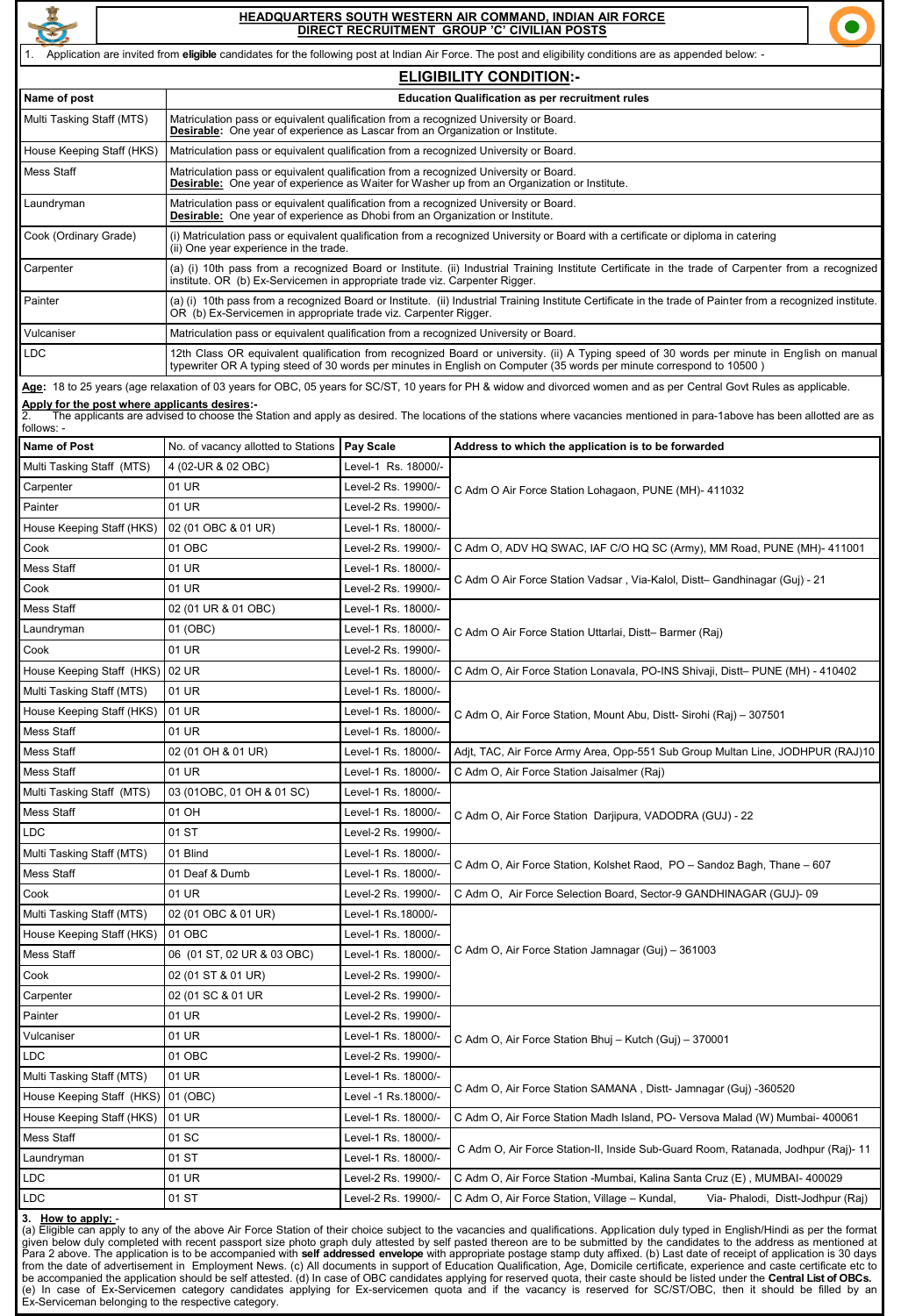

## **HEADQUARTERS SOUTH WESTERN AIR COMMAND, INDIAN AIR FORCE DIRECT RECRUITMENT GROUP 'C' CIVILIAN POSTS**



|  | <b>ELIGIBILITY CONDITI</b> |  |  |
|--|----------------------------|--|--|
|  |                            |  |  |

| <b>ELIGIBILITY CONDITION:-</b> |                                                                                                                                                                                                                                                                      |  |  |  |
|--------------------------------|----------------------------------------------------------------------------------------------------------------------------------------------------------------------------------------------------------------------------------------------------------------------|--|--|--|
| Name of post                   | <b>Education Qualification as per recruitment rules</b>                                                                                                                                                                                                              |  |  |  |
| Multi Tasking Staff (MTS)      | Matriculation pass or equivalent qualification from a recognized University or Board.<br>Desirable: One year of experience as Lascar from an Organization or Institute.                                                                                              |  |  |  |
| House Keeping Staff (HKS)      | Matriculation pass or equivalent qualification from a recognized University or Board.                                                                                                                                                                                |  |  |  |
| Mess Staff                     | Matriculation pass or equivalent qualification from a recognized University or Board.<br><b>Desirable:</b> One year of experience as Waiter for Washer up from an Organization or Institute.                                                                         |  |  |  |
| Laundryman                     | Matriculation pass or equivalent qualification from a recognized University or Board.<br><b>Desirable:</b> One year of experience as Dhobi from an Organization or Institute.                                                                                        |  |  |  |
| Cook (Ordinary Grade)          | (i) Matriculation pass or equivalent qualification from a recognized University or Board with a certificate or diploma in catering<br>(ii) One year experience in the trade.                                                                                         |  |  |  |
| Carpenter                      | (a) (i) 10th pass from a recognized Board or Institute. (ii) Industrial Training Institute Certificate in the trade of Carpenter from a recognized<br>institute. OR (b) Ex-Servicemen in appropriate trade viz. Carpenter Rigger.                                    |  |  |  |
| Painter                        | (a) (i) 10th pass from a recognized Board or Institute. (ii) Industrial Training Institute Certificate in the trade of Painter from a recognized institute.<br>OR (b) Ex-Servicemen in appropriate trade viz. Carpenter Rigger.                                      |  |  |  |
| Vulcaniser                     | Matriculation pass or equivalent qualification from a recognized University or Board.                                                                                                                                                                                |  |  |  |
| <b>LDC</b>                     | 12th Class OR equivalent qualification from recognized Board or university. (ii) A Typing speed of 30 words per minute in English on manual<br>typewriter OR A typing steed of 30 words per minutes in English on Computer (35 words per minute correspond to 10500) |  |  |  |

**Age:** 18 to 25 years (age relaxation of 03 years for OBC, 05 years for SC/ST, 10 years for PH & widow and divorced women and as per Central Govt Rules as applicable.

## **Apply for the post where applicants desires:-**

2. The applicants are advised to choose the Station and apply as desired. The locations of the stations where vacancies mentioned in para-1above has been allotted are as follows: -

| <b>Name of Post</b>                              | No. of vacancy allotted to Stations   Pay Scale |                     | Address to which the application is to be forwarded                                |  |  |
|--------------------------------------------------|-------------------------------------------------|---------------------|------------------------------------------------------------------------------------|--|--|
| Multi Tasking Staff (MTS)<br>4 (02-UR & 02 OBC)  |                                                 | Level-1 Rs. 18000/- |                                                                                    |  |  |
| Carpenter                                        | 01 UR                                           | Level-2 Rs. 19900/- | C Adm O Air Force Station Lohagaon, PUNE (MH)- 411032                              |  |  |
| Painter                                          | 01 UR                                           | Level-2 Rs. 19900/- |                                                                                    |  |  |
| House Keeping Staff (HKS)<br>02 (01 OBC & 01 UR) |                                                 | Level-1 Rs. 18000/- |                                                                                    |  |  |
| Cook<br>01 OBC                                   |                                                 | Level-2 Rs. 19900/- | C Adm O, ADV HQ SWAC, IAF C/O HQ SC (Army), MM Road, PUNE (MH)- 411001             |  |  |
| Mess Staff                                       | 01 UR                                           | Level-1 Rs. 18000/- |                                                                                    |  |  |
| Cook                                             | 01 UR                                           | Level-2 Rs. 19900/- | C Adm O Air Force Station Vadsar, Via-Kalol, Distt- Gandhinagar (Guj) - 21         |  |  |
| Mess Staff                                       | 02 (01 UR & 01 OBC)                             | Level-1 Rs. 18000/- |                                                                                    |  |  |
| Laundryman                                       | 01 (OBC)                                        | Level-1 Rs. 18000/- | C Adm O Air Force Station Uttarlai, Distt-Barmer (Raj)                             |  |  |
| Cook                                             | 01 UR                                           | Level-2 Rs. 19900/- |                                                                                    |  |  |
| House Keeping Staff (HKS)                        | 02 UR                                           | Level-1 Rs. 18000/- | C Adm O, Air Force Station Lonavala, PO-INS Shivaji, Distt- PUNE (MH) - 410402     |  |  |
| Multi Tasking Staff (MTS)                        | 01 UR                                           | Level-1 Rs. 18000/- |                                                                                    |  |  |
| House Keeping Staff (HKS)                        | 01 UR                                           | Level-1 Rs. 18000/- | C Adm O, Air Force Station, Mount Abu, Distt- Sirohi (Raj) - 307501                |  |  |
| Mess Staff                                       | 01 UR                                           | Level-1 Rs. 18000/- |                                                                                    |  |  |
| <b>Mess Staff</b>                                | 02 (01 OH & 01 UR)                              |                     | Adjt, TAC, Air Force Army Area, Opp-551 Sub Group Multan Line, JODHPUR (RAJ)10     |  |  |
| Mess Staff                                       | 01 UR                                           |                     | C Adm O, Air Force Station Jaisalmer (Raj)                                         |  |  |
| Multi Tasking Staff (MTS)                        | 03 (01 OBC, 01 OH & 01 SC)                      | Level-1 Rs. 18000/- |                                                                                    |  |  |
| Mess Staff                                       | 01 OH                                           | Level-1 Rs. 18000/- | C Adm O, Air Force Station Darjipura, VADODRA (GUJ) - 22                           |  |  |
| LDC<br>01 ST                                     |                                                 | Level-2 Rs. 19900/- |                                                                                    |  |  |
| Multi Tasking Staff (MTS)                        | 01 Blind                                        | Level-1 Rs. 18000/- |                                                                                    |  |  |
| Mess Staff                                       | 01 Deaf & Dumb                                  | Level-1 Rs. 18000/- | C Adm O, Air Force Station, Kolshet Raod, PO - Sandoz Bagh, Thane - 607            |  |  |
| Cook                                             | 01 UR                                           | Level-2 Rs. 19900/- | C Adm O, Air Force Selection Board, Sector-9 GANDHINAGAR (GUJ)-09                  |  |  |
| Multi Tasking Staff (MTS)                        | 02 (01 OBC & 01 UR)                             | Level-1 Rs.18000/-  |                                                                                    |  |  |
| House Keeping Staff (HKS)                        | 01 OBC                                          | Level-1 Rs. 18000/- |                                                                                    |  |  |
| Mess Staff                                       | 06 (01 ST, 02 UR & 03 OBC)                      | Level-1 Rs. 18000/- | C Adm O, Air Force Station Jamnagar (Guj) - 361003                                 |  |  |
| Cook                                             | 02 (01 ST & 01 UR)                              | Level-2 Rs. 19900/- |                                                                                    |  |  |
| Carpenter                                        | 02 (01 SC & 01 UR                               | Level-2 Rs. 19900/- |                                                                                    |  |  |
| Painter                                          | 01 UR                                           | Level-2 Rs. 19900/- |                                                                                    |  |  |
| Vulcaniser                                       | 01 UR                                           | Level-1 Rs. 18000/- | C Adm O, Air Force Station Bhuj - Kutch (Guj) - 370001                             |  |  |
| LDC                                              | 01 OBC                                          | Level-2 Rs. 19900/- |                                                                                    |  |  |
| Multi Tasking Staff (MTS)                        | 01 UR                                           | Level-1 Rs. 18000/- |                                                                                    |  |  |
| House Keeping Staff (HKS)   01 (OBC)             |                                                 | Level -1 Rs.18000/- | C Adm O, Air Force Station SAMANA, Distt- Jamnagar (Guj) -360520                   |  |  |
| House Keeping Staff (HKS)                        | 01 UR                                           |                     | C Adm O, Air Force Station Madh Island, PO- Versova Malad (W) Mumbai- 400061       |  |  |
| Mess Staff                                       | 01 SC                                           | Level-1 Rs. 18000/- |                                                                                    |  |  |
| Laundryman                                       | 01 ST                                           | Level-1 Rs. 18000/- | C Adm O, Air Force Station-II, Inside Sub-Guard Room, Ratanada, Jodhpur (Raj)- 11  |  |  |
| LDC                                              | 01 UR<br>Level-2 Rs. 19900/-                    |                     | C Adm O, Air Force Station -Mumbai, Kalina Santa Cruz (E), MUMBAI- 400029          |  |  |
| LDC                                              | 01 ST                                           | Level-2 Rs. 19900/- | C Adm O, Air Force Station, Village - Kundal,<br>Via- Phalodi, Distt-Jodhpur (Raj) |  |  |

## **3. How to apply:** -

(a) Eligible can apply to any of the above Air Force Station of their choice subject to the vacancies and qualifications. Application duly typed in English/Hindi as per the format given below duly completed with recent passport size photo graph duly attested by self pasted thereon are to be submitted by the candidates to the address as mentioned at Para 2 above. The application is to be accompanied with **self addressed envelope** with appropriate postage stamp duty affixed. (b) Last date of receipt of application is 30 days from the date of advertisement in Employment News. (c) All documents in support of Education Qualification, Age, Domicile certificate, experience and caste certificate etc to be accompanied the application should be self attested. (d) In case of OBC candidates applying for reserved quota, their caste should be listed under the **Central List of OBCs.** (e) In case of Ex-Servicemen category candidates applying for Ex-servicemen quota and if the vacancy is reserved for SC/ST/OBC, then it should be filled by an Ex-Serviceman belonging to the respective category.